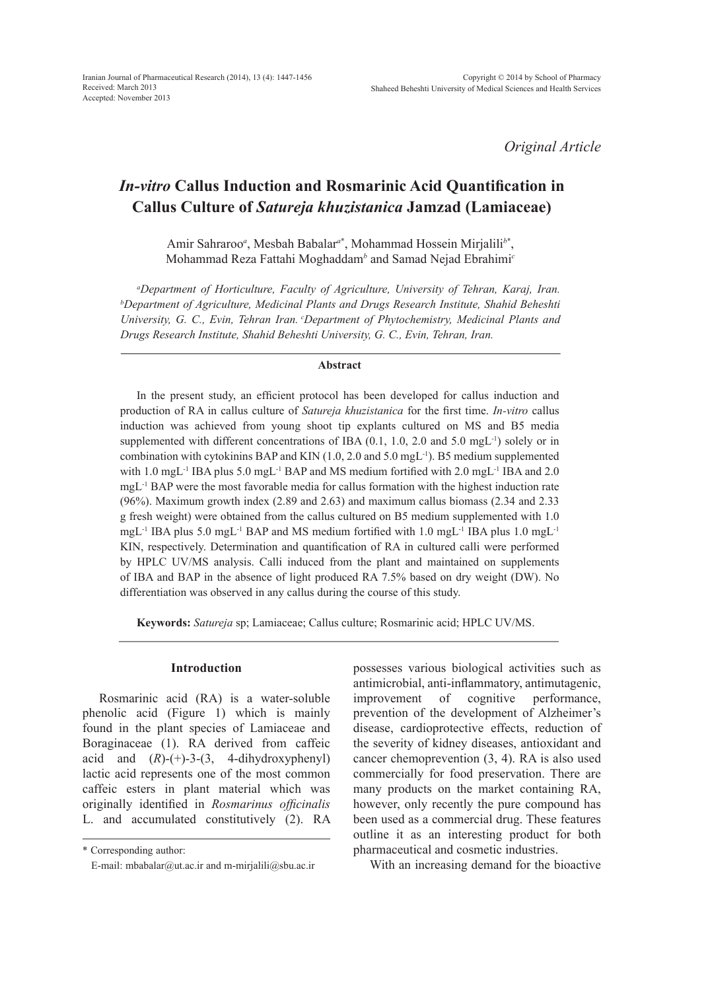*Original Article*

# *In-vitro* **Callus Induction and Rosmarinic Acid Quantification in Callus Culture of** *Satureja khuzistanica* **Jamzad (Lamiaceae)**

Amir Sahraroo*<sup>a</sup>* , Mesbah Babalar*<sup>a</sup>*\* , Mohammad Hossein Mirjalili*<sup>b</sup>*\* , Mohammad Reza Fattahi Moghaddam*<sup>b</sup>* and Samad Nejad Ebrahimi*<sup>c</sup>*

*a Department of Horticulture, Faculty of Agriculture, University of Tehran, Karaj, Iran. b Department of Agriculture, Medicinal Plants and Drugs Research Institute, Shahid Beheshti University, G. C., Evin, Tehran Iran. cDepartment of Phytochemistry, Medicinal Plants and Drugs Research Institute, Shahid Beheshti University, G. C., Evin, Tehran, Iran.*

#### **Abstract**

In the present study, an efficient protocol has been developed for callus induction and production of RA in callus culture of *Satureja khuzistanica* for the first time. *In-vitro* callus induction was achieved from young shoot tip explants cultured on MS and B5 media supplemented with different concentrations of IBA  $(0.1, 1.0, 2.0 \text{ and } 5.0 \text{ mgL}^{-1})$  solely or in combination with cytokinins BAP and KIN (1.0, 2.0 and 5.0 mgL-1). B5 medium supplemented with 1.0 mgL<sup>-1</sup> IBA plus 5.0 mgL<sup>-1</sup> BAP and MS medium fortified with 2.0 mgL<sup>-1</sup> IBA and 2.0 mgL-1 BAP were the most favorable media for callus formation with the highest induction rate (96%). Maximum growth index (2.89 and 2.63) and maximum callus biomass (2.34 and 2.33 g fresh weight) were obtained from the callus cultured on B5 medium supplemented with 1.0 mgL<sup>-1</sup> IBA plus 5.0 mgL<sup>-1</sup> BAP and MS medium fortified with 1.0 mgL<sup>-1</sup> IBA plus 1.0 mgL<sup>-1</sup> KIN, respectively. Determination and quantification of RA in cultured calli were performed by HPLC UV/MS analysis. Calli induced from the plant and maintained on supplements of IBA and BAP in the absence of light produced RA 7.5% based on dry weight (DW). No differentiation was observed in any callus during the course of this study.

**Keywords:** *Satureja* sp; Lamiaceae; Callus culture; Rosmarinic acid; HPLC UV/MS.

# **Introduction**

Rosmarinic acid (RA) is a water-soluble phenolic acid (Figure 1) which is mainly found in the plant species of Lamiaceae and Boraginaceae (1). RA derived from caffeic acid and  $(R)$ - $(+)$ -3- $(3, 4$ -dihydroxyphenyl) lactic acid represents one of the most common caffeic esters in plant material which was originally identified in *Rosmarinus officinalis*  L. and accumulated constitutively (2). RA possesses various biological activities such as antimicrobial, anti-inflammatory, antimutagenic, improvement of cognitive performance, prevention of the development of Alzheimer's disease, cardioprotective effects, reduction of the severity of kidney diseases, antioxidant and cancer chemoprevention (3, 4). RA is also used commercially for food preservation. There are many products on the market containing RA, however, only recently the pure compound has been used as a commercial drug. These features outline it as an interesting product for both pharmaceutical and cosmetic industries.

With an increasing demand for the bioactive

<sup>\*</sup> Corresponding author:

E-mail: mbabalar@ut.ac.ir and m-mirjalili@sbu.ac.ir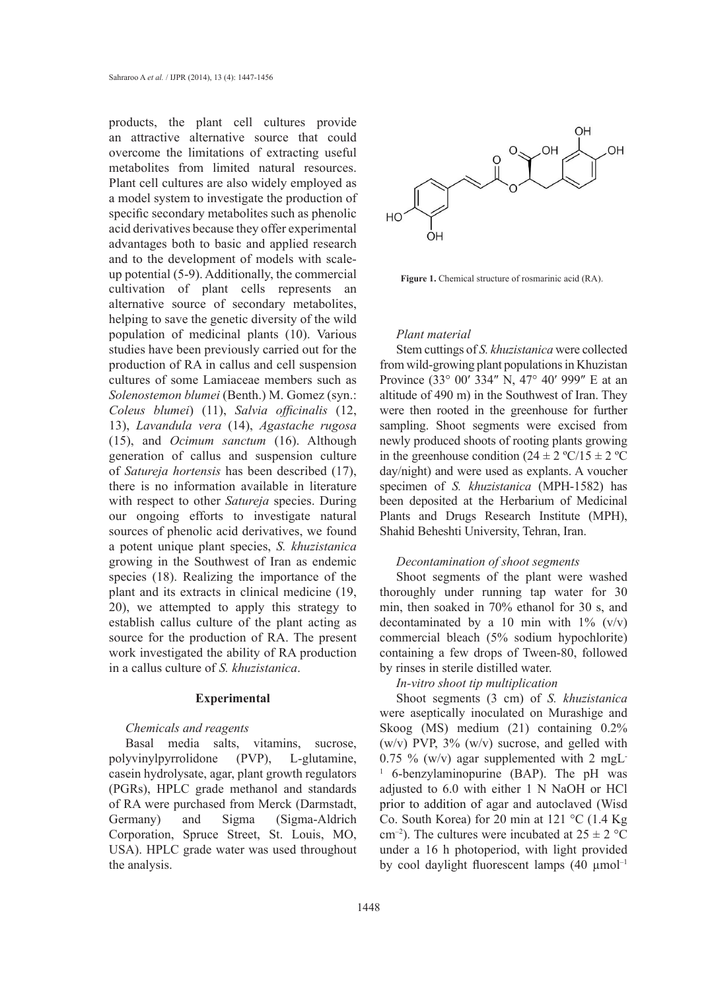products, the plant cell cultures provide an attractive alternative source that could overcome the limitations of extracting useful metabolites from limited natural resources. Plant cell cultures are also widely employed as a model system to investigate the production of specific secondary metabolites such as phenolic acid derivatives because they offer experimental advantages both to basic and applied research and to the development of models with scaleup potential (5-9). Additionally, the commercial cultivation of plant cells represents an alternative source of secondary metabolites, helping to save the genetic diversity of the wild population of medicinal plants (10). Various studies have been previously carried out for the production of RA in callus and cell suspension cultures of some Lamiaceae members such as *Solenostemon blumei* (Benth.) M. Gomez (syn.: *Coleus blumei*) (11), *Salvia officinalis* (12, 13), *Lavandula vera* (14), *Agastache rugosa* (15), and *Ocimum sanctum* (16). Although generation of callus and suspension culture of *Satureja hortensis* has been described (17), there is no information available in literature with respect to other *Satureja* species. During our ongoing efforts to investigate natural sources of phenolic acid derivatives, we found a potent unique plant species, *S. khuzistanica* growing in the Southwest of Iran as endemic species (18). Realizing the importance of the plant and its extracts in clinical medicine (19, 20), we attempted to apply this strategy to establish callus culture of the plant acting as source for the production of RA. The present work investigated the ability of RA production in a callus culture of *S. khuzistanica*.

#### **Experimental**

## *Chemicals and reagents*

Basal media salts, vitamins, sucrose, polyvinylpyrrolidone (PVP), L-glutamine, casein hydrolysate, agar, plant growth regulators (PGRs), HPLC grade methanol and standards of RA were purchased from Merck (Darmstadt, Germany) and Sigma (Sigma-Aldrich Corporation, Spruce Street, St. Louis, MO, USA). HPLC grade water was used throughout the analysis.



Figure 1. Chemical structure of rosmarinic acid (RA).

## *Plant material*

Stem cuttings of *S. khuzistanica* were collected from wild-growing plant populations in Khuzistan Province (33° 00′ 334″ N, 47° 40′ 999″ E at an altitude of 490 m) in the Southwest of Iran. They were then rooted in the greenhouse for further sampling. Shoot segments were excised from newly produced shoots of rooting plants growing in the greenhouse condition  $(24 \pm 2 \degree C/15 \pm 2 \degree C)$ day/night) and were used as explants. A voucher specimen of *S. khuzistanica* (MPH-1582) has been deposited at the Herbarium of Medicinal Plants and Drugs Research Institute (MPH), Shahid Beheshti University, Tehran, Iran.

## *Decontamination of shoot segments*

Shoot segments of the plant were washed thoroughly under running tap water for 30 min, then soaked in 70% ethanol for 30 s, and decontaminated by a 10 min with  $1\%$  (v/v) commercial bleach (5% sodium hypochlorite) containing a few drops of Tween-80, followed by rinses in sterile distilled water.

*In-vitro shoot tip multiplication*

Shoot segments (3 cm) of *S. khuzistanica* were aseptically inoculated on Murashige and Skoog (MS) medium (21) containing 0.2% (w/v) PVP,  $3\%$  (w/v) sucrose, and gelled with 0.75 % (w/v) agar supplemented with 2 mgL 1 6-benzylaminopurine (BAP). The pH was adjusted to 6.0 with either 1 N NaOH or HCl prior to addition of agar and autoclaved (Wisd Co. South Korea) for 20 min at 121 °C (1.4 Kg cm<sup>-2</sup>). The cultures were incubated at  $25 \pm 2$  °C under a 16 h photoperiod, with light provided by cool daylight fluorescent lamps  $(40 \mu \text{mol}^{-1})$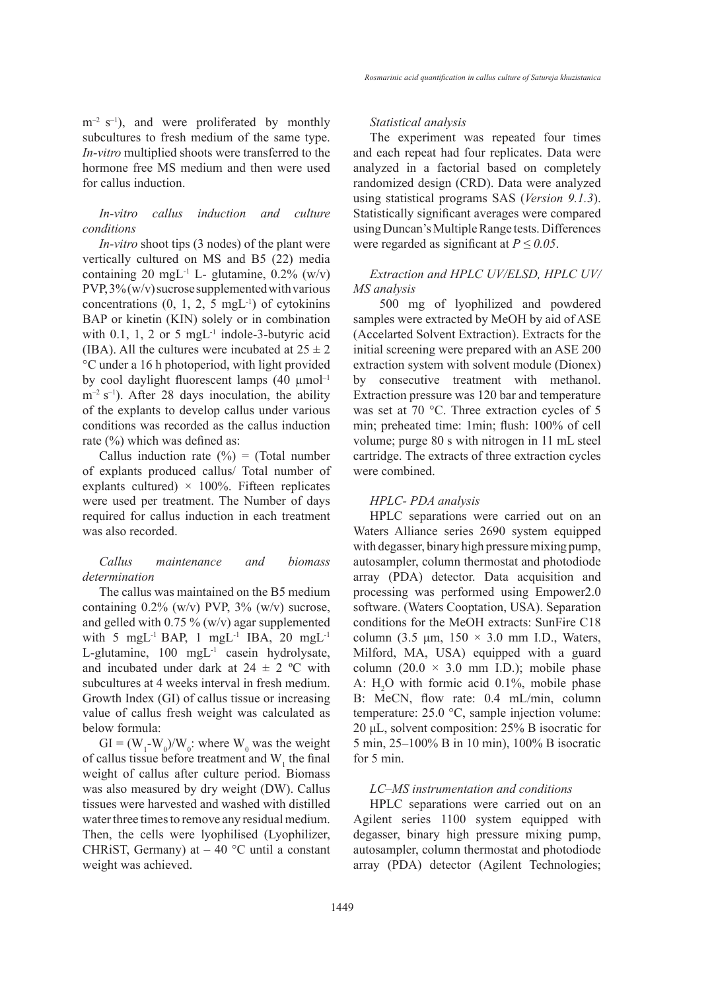$m^{-2}$  s<sup>-1</sup>), and were proliferated by monthly subcultures to fresh medium of the same type. *In-vitro* multiplied shoots were transferred to the hormone free MS medium and then were used for callus induction.

# *In-vitro callus induction and culture conditions*

*In-vitro* shoot tips (3 nodes) of the plant were vertically cultured on MS and B5 (22) media containing 20 mgL<sup>-1</sup> L- glutamine,  $0.2\%$  (w/v)  $PVP, 3\% (w/v)$  sucrose supplemented with various concentrations  $(0, 1, 2, 5 \text{ mgL}^{-1})$  of cytokinins BAP or kinetin (KIN) solely or in combination with 0.1, 1, 2 or 5 mgL $^{-1}$  indole-3-butyric acid (IBA). All the cultures were incubated at  $25 \pm 2$ °C under a 16 h photoperiod, with light provided by cool daylight fluorescent lamps  $(40 \mu mol^{-1})$  $m^{-2}$  s<sup>-1</sup>). After 28 days inoculation, the ability of the explants to develop callus under various conditions was recorded as the callus induction rate (%) which was defined as:

Callus induction rate  $(\%)$  = (Total number of explants produced callus/ Total number of explants cultured)  $\times$  100%. Fifteen replicates were used per treatment. The Number of days required for callus induction in each treatment was also recorded.

# *Callus maintenance and biomass determination*

The callus was maintained on the B5 medium containing  $0.2\%$  (w/v) PVP,  $3\%$  (w/v) sucrose, and gelled with  $0.75\%$  (w/v) agar supplemented with 5 mgL<sup>-1</sup> BAP, 1 mgL<sup>-1</sup> IBA, 20 mgL<sup>-1</sup> L-glutamine, 100 mgL-1 casein hydrolysate, and incubated under dark at  $24 \pm 2$  °C with subcultures at 4 weeks interval in fresh medium. Growth Index (GI) of callus tissue or increasing value of callus fresh weight was calculated as below formula:

 $GI = (W_1-W_0)/W_0$ : where  $W_0$  was the weight of callus tissue before treatment and  $W_1$  the final weight of callus after culture period. Biomass was also measured by dry weight (DW). Callus tissues were harvested and washed with distilled water three times to remove any residual medium. Then, the cells were lyophilised (Lyophilizer, CHRIST, Germany) at  $-40$  °C until a constant weight was achieved.

#### *Statistical analysis*

The experiment was repeated four times and each repeat had four replicates. Data were analyzed in a factorial based on completely randomized design (CRD). Data were analyzed using statistical programs SAS (*Version 9.1.3*). Statistically significant averages were compared using Duncan's Multiple Range tests. Differences were regarded as significant at  $P \leq 0.05$ .

# *Extraction and HPLC UV/ELSD, HPLC UV/ MS analysis*

500 mg of lyophilized and powdered samples were extracted by MeOH by aid of ASE (Accelarted Solvent Extraction). Extracts for the initial screening were prepared with an ASE 200 extraction system with solvent module (Dionex) by consecutive treatment with methanol. Extraction pressure was 120 bar and temperature was set at 70 °C. Three extraction cycles of 5 min; preheated time: 1min; flush: 100% of cell volume; purge 80 s with nitrogen in 11 mL steel cartridge. The extracts of three extraction cycles were combined.

## *HPLC- PDA analysis*

HPLC separations were carried out on an Waters Alliance series 2690 system equipped with degasser, binary high pressure mixing pump, autosampler, column thermostat and photodiode array (PDA) detector. Data acquisition and processing was performed using Empower2.0 software. (Waters Cooptation, USA). Separation conditions for the MeOH extracts: SunFire C18 column (3.5  $\mu$ m, 150  $\times$  3.0 mm I.D., Waters, Milford, MA, USA) equipped with a guard column  $(20.0 \times 3.0 \text{ mm } I.D.)$ ; mobile phase A:  $H_2O$  with formic acid 0.1%, mobile phase B: MeCN, flow rate: 0.4 mL/min, column temperature: 25.0 °C, sample injection volume: 20 μL, solvent composition: 25% B isocratic for 5 min, 25–100% B in 10 min), 100% B isocratic for 5 min.

#### *LC–MS instrumentation and conditions*

HPLC separations were carried out on an Agilent series 1100 system equipped with degasser, binary high pressure mixing pump, autosampler, column thermostat and photodiode array (PDA) detector (Agilent Technologies;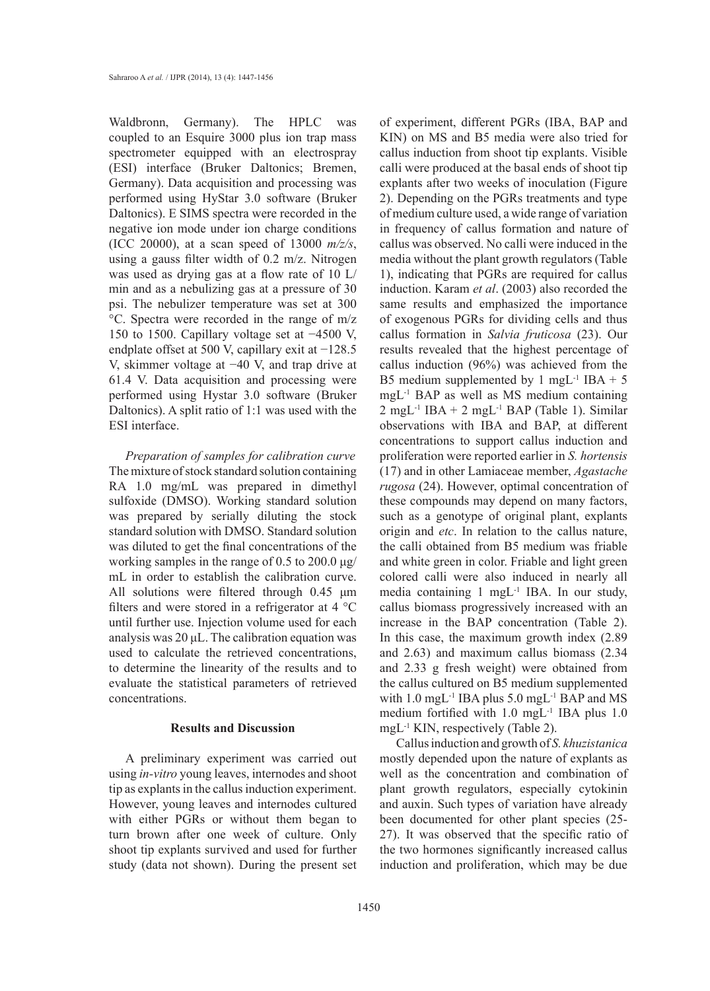Waldbronn, Germany). The HPLC was coupled to an Esquire 3000 plus ion trap mass spectrometer equipped with an electrospray (ESI) interface (Bruker Daltonics; Bremen, Germany). Data acquisition and processing was performed using HyStar 3.0 software (Bruker Daltonics). E SIMS spectra were recorded in the negative ion mode under ion charge conditions (ICC 20000), at a scan speed of 13000 *m/z/s*, using a gauss filter width of 0.2 m/z. Nitrogen was used as drying gas at a flow rate of 10 L/ min and as a nebulizing gas at a pressure of 30 psi. The nebulizer temperature was set at 300 °C. Spectra were recorded in the range of m/z 150 to 1500. Capillary voltage set at −4500 V, endplate offset at 500 V, capillary exit at −128.5 V, skimmer voltage at −40 V, and trap drive at 61.4 V. Data acquisition and processing were performed using Hystar 3.0 software (Bruker Daltonics). A split ratio of 1:1 was used with the ESI interface.

*Preparation of samples for calibration curve* The mixture of stock standard solution containing RA 1.0 mg/mL was prepared in dimethyl sulfoxide (DMSO). Working standard solution was prepared by serially diluting the stock standard solution with DMSO. Standard solution was diluted to get the final concentrations of the working samples in the range of 0.5 to 200.0 μg/ mL in order to establish the calibration curve. All solutions were filtered through 0.45 μm filters and were stored in a refrigerator at 4 °C until further use. Injection volume used for each analysis was 20 μL. The calibration equation was used to calculate the retrieved concentrations, to determine the linearity of the results and to evaluate the statistical parameters of retrieved concentrations.

# **Results and Discussion**

A preliminary experiment was carried out using *in-vitro* young leaves, internodes and shoot tip as explants in the callus induction experiment. However, young leaves and internodes cultured with either PGRs or without them began to turn brown after one week of culture. Only shoot tip explants survived and used for further study (data not shown). During the present set

of experiment, different PGRs (IBA, BAP and KIN) on MS and B5 media were also tried for callus induction from shoot tip explants. Visible calli were produced at the basal ends of shoot tip explants after two weeks of inoculation (Figure 2). Depending on the PGRs treatments and type of medium culture used, a wide range of variation in frequency of callus formation and nature of callus was observed. No calli were induced in the media without the plant growth regulators (Table 1), indicating that PGRs are required for callus induction. Karam *et al*. (2003) also recorded the same results and emphasized the importance of exogenous PGRs for dividing cells and thus callus formation in *Salvia fruticosa* (23). Our results revealed that the highest percentage of callus induction (96%) was achieved from the B5 medium supplemented by 1 mgL<sup>-1</sup> IBA + 5 mgL-1 BAP as well as MS medium containing  $2 \text{ mgL}$ <sup>-1</sup> IBA + 2 mgL<sup>-1</sup> BAP (Table 1). Similar observations with IBA and BAP, at different concentrations to support callus induction and proliferation were reported earlier in *S. hortensis* (17) and in other Lamiaceae member, *Agastache rugosa* (24). However, optimal concentration of these compounds may depend on many factors, such as a genotype of original plant, explants origin and *etc*. In relation to the callus nature, the calli obtained from B5 medium was friable and white green in color. Friable and light green colored calli were also induced in nearly all media containing 1 mgL-1 IBA. In our study, callus biomass progressively increased with an increase in the BAP concentration (Table 2). In this case, the maximum growth index (2.89 and 2.63) and maximum callus biomass (2.34 and 2.33 g fresh weight) were obtained from the callus cultured on B5 medium supplemented with 1.0 mgL<sup>-1</sup> IBA plus 5.0 mgL<sup>-1</sup> BAP and MS medium fortified with 1.0 mgL<sup>-1</sup> IBA plus 1.0 mgL-1 KIN, respectively (Table 2).

Callus induction and growth of *S. khuzistanica* mostly depended upon the nature of explants as well as the concentration and combination of plant growth regulators, especially cytokinin and auxin. Such types of variation have already been documented for other plant species (25- 27). It was observed that the specific ratio of the two hormones significantly increased callus induction and proliferation, which may be due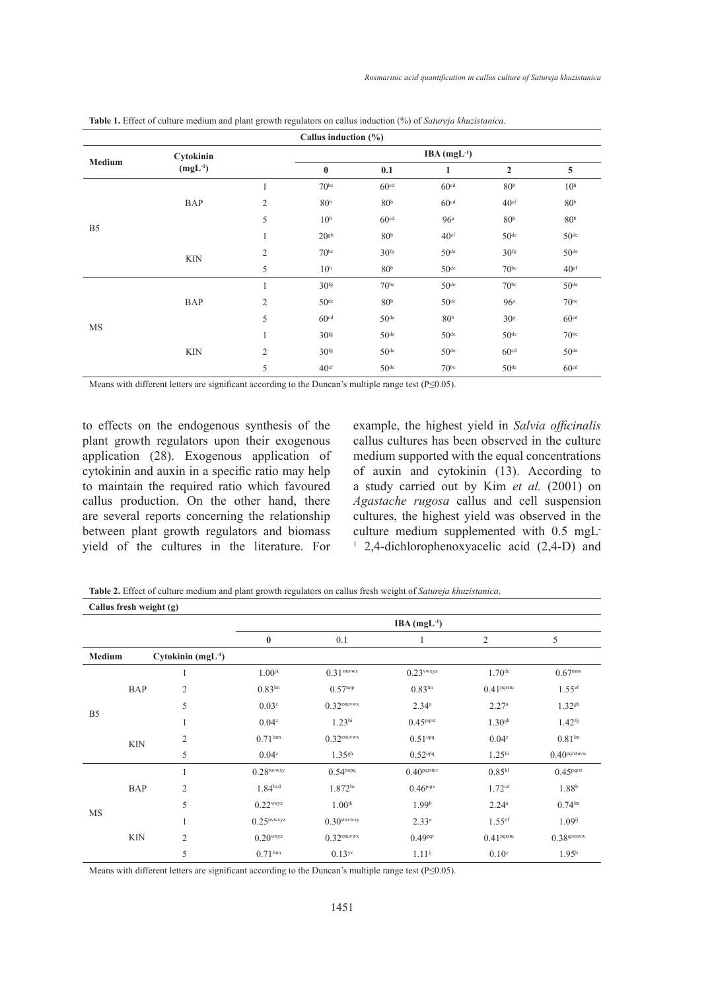| Callus induction $(\% )$ |                           |                |                  |                  |                  |                  |                  |  |
|--------------------------|---------------------------|----------------|------------------|------------------|------------------|------------------|------------------|--|
| <b>Medium</b>            | Cytokinin<br>$(mgL^{-1})$ |                | $IBA(mgL-1)$     |                  |                  |                  |                  |  |
|                          |                           |                | $\bf{0}$         | 0.1              | $\mathbf{1}$     | $\overline{2}$   | 5                |  |
| B <sub>5</sub>           |                           | $\mathbf{1}$   | 70 <sup>bc</sup> | 60 <sup>cd</sup> | 60 <sup>cd</sup> | 80 <sup>b</sup>  | 10 <sup>h</sup>  |  |
|                          | <b>BAP</b>                | $\mathfrak{2}$ | 80 <sup>b</sup>  | 80 <sup>b</sup>  | 60 <sup>cd</sup> | 40 <sup>ef</sup> | 80 <sup>b</sup>  |  |
|                          |                           | 5              | 10 <sup>h</sup>  | 60 <sup>cd</sup> | 96 <sup>a</sup>  | 80 <sup>b</sup>  | 80 <sup>b</sup>  |  |
|                          |                           | $\mathbf{1}$   | 20 <sup>gh</sup> | 80 <sup>b</sup>  | 40 <sup>ef</sup> | 50 <sup>de</sup> | 50 <sup>de</sup> |  |
|                          | <b>KIN</b>                | $\overline{c}$ | 70 <sup>bc</sup> | 30 <sup>fg</sup> | 50 <sup>de</sup> | 30 <sup>fg</sup> | 50 <sup>de</sup> |  |
|                          |                           | 5              | 10 <sup>h</sup>  | 80 <sup>b</sup>  | 50 <sup>de</sup> | 70 <sup>bc</sup> | 40 <sup>ef</sup> |  |
| MS                       |                           | $\mathbf{1}$   | 30 <sup>fg</sup> | 70 <sup>bc</sup> | 50 <sup>de</sup> | 70 <sup>bc</sup> | 50 <sup>de</sup> |  |
|                          | <b>BAP</b>                | $\mathbf{2}$   | 50 <sup>de</sup> | 80 <sup>b</sup>  | 50 <sup>de</sup> | 96 <sup>a</sup>  | 70 <sup>bc</sup> |  |
|                          |                           | 5              | 60 <sup>cd</sup> | 50 <sup>de</sup> | 80 <sup>b</sup>  | 30 <sup>g</sup>  | 60 <sup>cd</sup> |  |
|                          |                           | $\mathbf{1}$   | 30 <sup>fg</sup> | 50 <sup>de</sup> | 50 <sup>de</sup> | 50 <sup>de</sup> | 70 <sup>bc</sup> |  |
|                          | <b>KIN</b>                | $\mathfrak{2}$ | 30 <sup>fg</sup> | 50 <sup>de</sup> | 50 <sup>de</sup> | 60 <sup>cd</sup> | 50 <sup>de</sup> |  |
|                          |                           | 5              | 40 <sup>ef</sup> | 50 <sup>de</sup> | 70 <sup>bc</sup> | 50 <sup>de</sup> | 60 <sup>cd</sup> |  |

**Table 1.** Effect of culture medium and plant growth regulators on callus induction (%) of *Satureja khuzistanica.*

Means with different letters are significant according to the Duncan's multiple range test (P≤0.05).

to effects on the endogenous synthesis of the plant growth regulators upon their exogenous application (28). Exogenous application of cytokinin and auxin in a specific ratio may help to maintain the required ratio which favoured callus production. On the other hand, there are several reports concerning the relationship between plant growth regulators and biomass yield of the cultures in the literature. For example, the highest yield in *Salvia officinalis* callus cultures has been observed in the culture medium supported with the equal concentrations of auxin and cytokinin (13). According to a study carried out by Kim *et al.* (2001) on *Agastache rugosa* callus and cell suspension cultures, the highest yield was observed in the culture medium supplemented with 0.5 mgL-1 2,4-dichlorophenoxyacelic acid (2,4-D) and

**Callus fresh weight (g) Table 2.** Effect of culture medium and plant growth regulators on callus fresh weight of *Satureja khuzistanica*.

| Callus fresh weight (g) |            |                     |                            |                           |                         |                        |                          |  |
|-------------------------|------------|---------------------|----------------------------|---------------------------|-------------------------|------------------------|--------------------------|--|
|                         |            |                     | $IBA$ (mgL <sup>-1</sup> ) |                           |                         |                        |                          |  |
|                         |            |                     | $\bf{0}$                   | 0.1                       |                         | 2                      | 5                        |  |
| Medium                  |            | $Cytokinin (mgL-1)$ |                            |                           |                         |                        |                          |  |
| B <sub>5</sub>          |            | 1                   | $1.00$ <sup>jk</sup>       | $0.31$ stuvwx             | $0.23$ vwxyz            | $1.70$ <sup>de</sup>   | $0.67^{\rm mno}$         |  |
|                         | <b>BAP</b> | $\overline{c}$      | 0.83 <sup>lm</sup>         | $0.57^{nop}$              | 0.83 <sup>lm</sup>      | 0.41 <sup>pqrstu</sup> | $1.55$ <sup>ef</sup>     |  |
|                         |            | 5                   | $0.03^{z}$                 | $0.32$ <sup>rstuvwx</sup> | $2.34^{\circ}$          | 2.27 <sup>a</sup>      | $1.32^{gh}$              |  |
|                         |            | 1                   | $0.04^{z}$                 | 1.23 <sup>hi</sup>        | 0.45 <sup>pqrst</sup>   | 1.30 <sup>gh</sup>     | $1.42$ <sup>fg</sup>     |  |
|                         | <b>KIN</b> | $\overline{2}$      | $0.71^{lmn}$               | $0.32$ rstuvwx            | $0.51^{opq}$            | $0.04^{z}$             | 0.81 <sup>lm</sup>       |  |
|                         |            | 5                   | $0.04^{z}$                 | $1.35$ <sup>gh</sup>      | $0.52$ <sup>opq</sup>   | 1.25 <sup>hi</sup>     | 0.40 <sub>pqrstuvw</sub> |  |
| <b>MS</b>               |            | $\mathbf{1}$        | $0.28$ tuvwxy              | $0.54^{nopq}$             | 0.40 <sub>pqrstuv</sub> | $0.85^{kl}$            | 0.45 <sup>pqrst</sup>    |  |
|                         | <b>BAP</b> | $\overline{c}$      | 1.84 <sup>bcd</sup>        | $1.872^{bc}$              | 0.46 <sup>pqrs</sup>    | 1.72 <sup>cd</sup>     | $1.88^{b}$               |  |
|                         |            | 5                   | $0.22$ <sup>wxyz</sup>     | $1.00$ <sup>jk</sup>      | 1.99 <sup>b</sup>       | 2.24 <sup>a</sup>      | 0.74 <sup>lm</sup>       |  |
|                         |            | 1                   | $0.25$ uvwxyz              | $0.30$ stuvwxy            | $2.33^{a}$              | $1.55$ <sup>ef</sup>   | $1.09^{ij}$              |  |
|                         | <b>KIN</b> | $\overline{c}$      | $0.20$ <sup>wxyz</sup>     | $0.32$ rstuvwx            | 0.49 <sup>pqr</sup>     | 0.41 <sup>pqrstu</sup> | 0.38 <sub>qrstuvw</sub>  |  |
|                         |            | 5                   | $0.71^{lmn}$               | 0.13yz                    | $1.11^{ij}$             | $0.10^{z}$             | 1.95 <sup>b</sup>        |  |

Means with different letters are significant according to the Duncan's multiple range test (P≤0.05).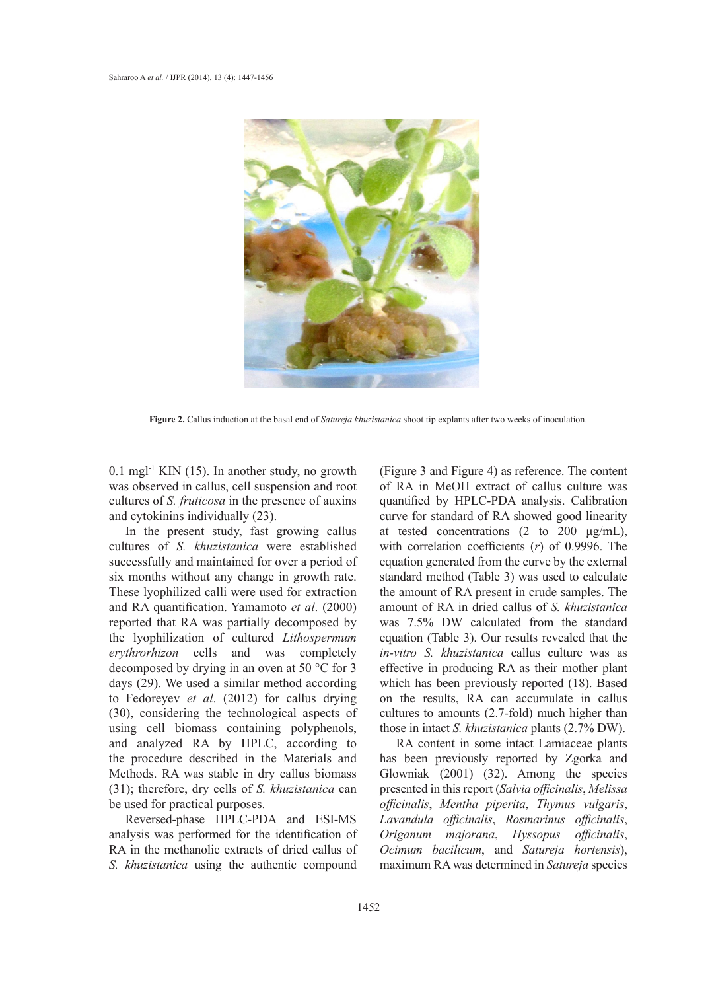

**Figure 2.** Callus induction at the basal end of *Satureja khuzistanica* shoot tip explants after two weeks of inoculation.

 $0.1$  mgl<sup>-1</sup> KIN (15). In another study, no growth was observed in callus, cell suspension and root cultures of *S. fruticosa* in the presence of auxins and cytokinins individually (23).

In the present study, fast growing callus cultures of *S. khuzistanica* were established successfully and maintained for over a period of six months without any change in growth rate. These lyophilized calli were used for extraction and RA quantification. Yamamoto *et al*. (2000) reported that RA was partially decomposed by the lyophilization of cultured *Lithospermum erythrorhizon* cells and was completely decomposed by drying in an oven at 50 °C for 3 days (29). We used a similar method according to Fedoreyev *et al*. (2012) for callus drying (30), considering the technological aspects of using cell biomass containing polyphenols, and analyzed RA by HPLC, according to the procedure described in the Materials and Methods. RA was stable in dry callus biomass (31); therefore, dry cells of *S. khuzistanica* can be used for practical purposes.

Reversed-phase HPLC-PDA and ESI-MS analysis was performed for the identification of RA in the methanolic extracts of dried callus of *S. khuzistanica* using the authentic compound (Figure 3 and Figure 4) as reference. The content of RA in MeOH extract of callus culture was quantified by HPLC-PDA analysis. Calibration curve for standard of RA showed good linearity at tested concentrations  $(2 \text{ to } 200 \text{ µg/mL})$ , with correlation coefficients (*r*) of 0.9996. The equation generated from the curve by the external standard method (Table 3) was used to calculate the amount of RA present in crude samples. The amount of RA in dried callus of *S. khuzistanica* was 7.5% DW calculated from the standard equation (Table 3). Our results revealed that the *in-vitro S. khuzistanica* callus culture was as effective in producing RA as their mother plant which has been previously reported (18). Based on the results, RA can accumulate in callus cultures to amounts (2.7-fold) much higher than those in intact *S. khuzistanica* plants (2.7% DW).

RA content in some intact Lamiaceae plants has been previously reported by Zgorka and Glowniak (2001) (32). Among the species presented in this report (*Salvia officinalis*, *Melissa officinalis*, *Mentha piperita*, *Thymus vulgaris*, *Lavandula officinalis*, *Rosmarinus officinalis*, *Origanum majorana*, *Hyssopus officinalis*, *Ocimum bacilicum*, and *Satureja hortensis*), maximum RA was determined in *Satureja* species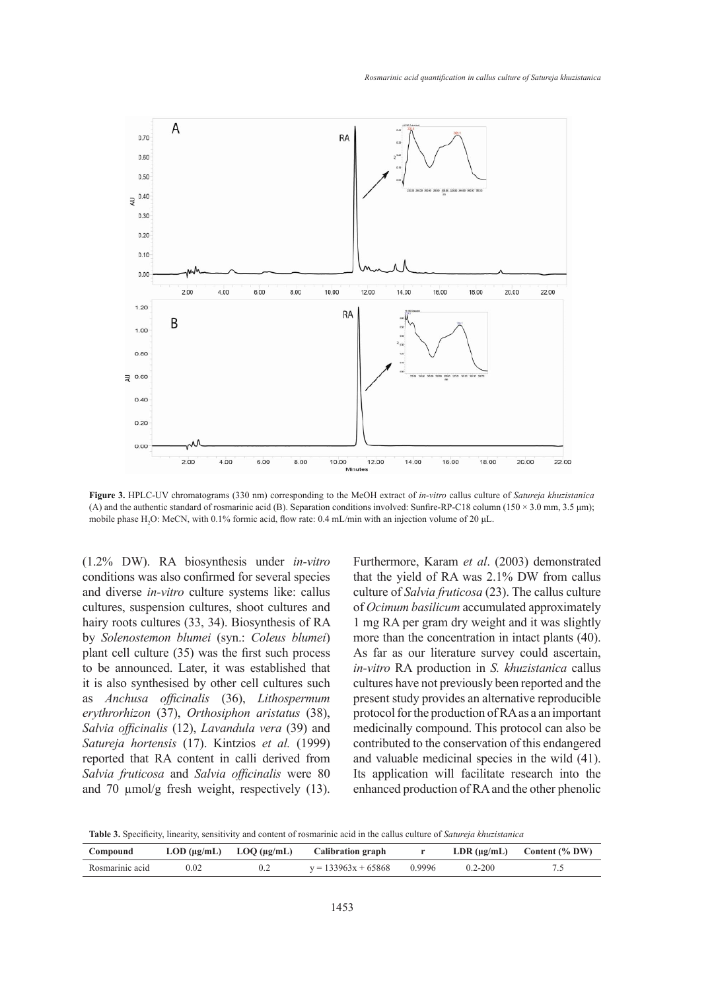

**Figure 3.** HPLC-UV chromatograms (330 nm) corresponding to the MeOH extract of *in-vitro* callus culture of *Satureja khuzistanica* (A) and the authentic standard of rosmarinic acid (B). Separation conditions involved: Sunfire-RP-C18 column (150 × 3.0 mm, 3.5 μm); mobile phase  $H_2O$ : MeCN, with 0.1% formic acid, flow rate: 0.4 mL/min with an injection volume of 20  $\mu$ L.

(1.2% DW). RA biosynthesis under *in-vitro* conditions was also confirmed for several species and diverse *in-vitro* culture systems like: callus cultures, suspension cultures, shoot cultures and hairy roots cultures (33, 34). Biosynthesis of RA by *Solenostemon blumei* (syn.: *Coleus blumei*) plant cell culture (35) was the first such process to be announced. Later, it was established that it is also synthesised by other cell cultures such as *Anchusa officinalis* (36), *Lithospermum erythrorhizon* (37), *Orthosiphon aristatus* (38), *Salvia officinalis* (12), *Lavandula vera* (39) and *Satureja hortensis* (17). Kintzios *et al.* (1999) reported that RA content in calli derived from *Salvia fruticosa* and *Salvia officinalis* were 80 and 70  $\mu$ mol/g fresh weight, respectively (13).

Furthermore, Karam *et al*. (2003) demonstrated that the yield of RA was 2.1% DW from callus culture of *Salvia fruticosa* (23). The callus culture of *Ocimum basilicum* accumulated approximately 1 mg RA per gram dry weight and it was slightly more than the concentration in intact plants (40). As far as our literature survey could ascertain, *in-vitro* RA production in *S. khuzistanica* callus cultures have not previously been reported and the present study provides an alternative reproducible protocol for the production of RA as a an important medicinally compound. This protocol can also be contributed to the conservation of this endangered and valuable medicinal species in the wild (41). Its application will facilitate research into the enhanced production of RA and the other phenolic

**Table 3.** Specificity, linearity, sensitivity and content of rosmarinic acid in the callus culture of *Satureja khuzistanica*

| Compound        |      | $\text{LOD}$ (µg/mL) $\text{LOQ}$ (µg/mL) $\text{Calibration graph}$ |             | LDR $(\mu g/mL)$ Content $(\%$ DW) |
|-----------------|------|----------------------------------------------------------------------|-------------|------------------------------------|
| Rosmarinic acid | 0.02 | $y = 133963x + 65868$ 0.9996                                         | $0.2 - 200$ |                                    |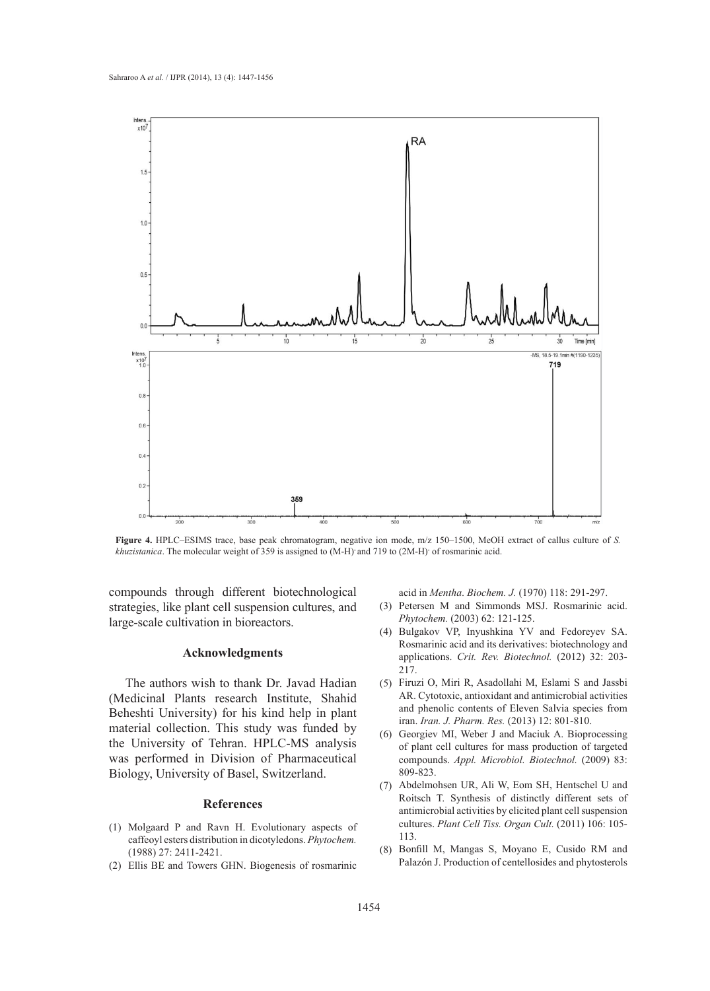

**Figure 4.** HPLC–ESIMS trace, base peak chromatogram, negative ion mode, m/z 150–1500, MeOH extract of callus culture of *S. khuzistanica*. The molecular weight of 359 is assigned to (M-H)**-** and 719 to (2M-H)**-** of rosmarinic acid.

compounds through different biotechnological strategies, like plant cell suspension cultures, and large-scale cultivation in bioreactors.

#### **Acknowledgments**

The authors wish to thank Dr. Javad Hadian (Medicinal Plants research Institute, Shahid Beheshti University) for his kind help in plant material collection. This study was funded by the University of Tehran. HPLC-MS analysis was performed in Division of Pharmaceutical Biology, University of Basel, Switzerland.

## **References**

- Molgaard P and Ravn H. Evolutionary aspects of (1) caffeoyl esters distribution in dicotyledons. *Phytochem.* (1988) 27: 2411-2421.
- Ellis BE and Towers GHN. Biogenesis of rosmarinic (2)

acid in *Mentha*. *Biochem. J.* (1970) 118: 291-297.

- (3) Petersen M and Simmonds MSJ. Rosmarinic acid. *Phytochem.* (2003) 62: 121-125.
- Bulgakov VP, Inyushkina YV and Fedoreyev SA. (4) Rosmarinic acid and its derivatives: biotechnology and applications. *Crit. Rev. Biotechnol.* (2012) 32: 203- 217.
- Firuzi O, Miri R, Asadollahi M, Eslami S and Jassbi (5) AR. Cytotoxic, antioxidant and antimicrobial activities and phenolic contents of Eleven Salvia species from iran. *Iran. J. Pharm. Res.* (2013) 12: 801-810.
- Georgiev MI, Weber J and Maciuk A. Bioprocessing (6) of plant cell cultures for mass production of targeted compounds. *Appl. Microbiol. Biotechnol.* (2009) 83: 809-823.
- Abdelmohsen UR, Ali W, Eom SH, Hentschel U and (7) Roitsch T. Synthesis of distinctly different sets of antimicrobial activities by elicited plant cell suspension cultures. *Plant Cell Tiss. Organ Cult.* (2011) 106: 105- 113.
- Bonfill M, Mangas S, Moyano E, Cusido RM and (8) Palazón J. Production of centellosides and phytosterols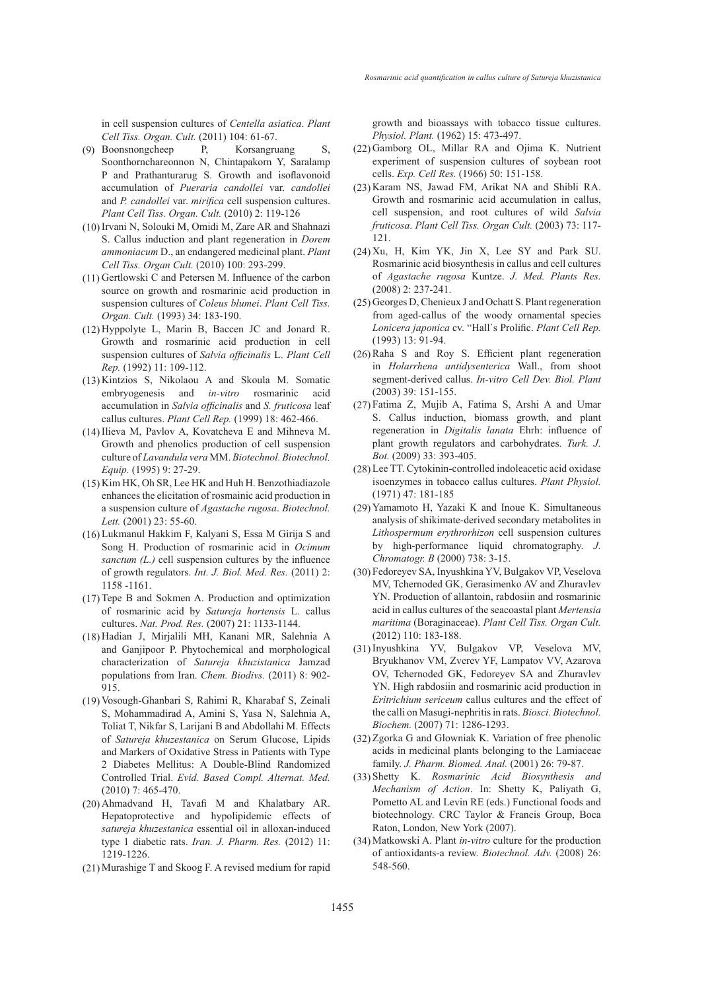in cell suspension cultures of *Centella asiatica*. *Plant Cell Tiss. Organ. Cult.* (2011) 104: 61-67.

- Boonsnongcheep P, Korsangruang S, (9) Soonthornchareonnon N, Chintapakorn Y, Saralamp P and Prathanturarug S. Growth and isoflavonoid accumulation of *Pueraria candollei* var. *candollei*  and *P. candollei* var. *mirifica* cell suspension cultures. *Plant Cell Tiss. Organ. Cult.* (2010) 2: 119-126
- (10) Irvani N, Solouki M, Omidi M, Zare AR and Shahnazi S. Callus induction and plant regeneration in *Dorem ammoniacum* D., an endangered medicinal plant. *Plant Cell Tiss. Organ Cult.* (2010) 100: 293-299.
- $(11)$  Gertlowski C and Petersen M. Influence of the carbon source on growth and rosmarinic acid production in suspension cultures of *Coleus blumei*. *Plant Cell Tiss. Organ. Cult.* (1993) 34: 183-190.
- $(12)$  Hyppolyte L, Marin B, Baccen JC and Jonard R. Growth and rosmarinic acid production in cell suspension cultures of *Salvia officinalis* L. *Plant Cell Rep.* (1992) 11: 109-112.
- $(13)$  Kintzios S, Nikolaou A and Skoula M. Somatic embryogenesis and *in-vitro* rosmarinic acid accumulation in *Salvia officinalis* and *S. fruticosa* leaf callus cultures. *Plant Cell Rep.* (1999) 18: 462-466.
- $(14)$  Ilieva M, Pavlov A, Kovatcheva E and Mihneva M. Growth and phenolics production of cell suspension culture of *Lavandula vera* MM. *Biotechnol. Biotechnol. Equip.* (1995) 9: 27-29.
- $(15)$  Kim HK, Oh SR, Lee HK and Huh H. Benzothiadiazole enhances the elicitation of rosmainic acid production in a suspension culture of *Agastache rugosa*. *Biotechnol. Lett.* (2001) 23: 55-60.
- Lukmanul Hakkim F, Kalyani S, Essa M Girija S and (16) Song H. Production of rosmarinic acid in *Ocimum sanctum (L.)* cell suspension cultures by the influence of growth regulators. *Int. J. Biol. Med. Res.* (2011) 2: 1158 -1161.
- $(17)$  Tepe B and Sokmen A. Production and optimization of rosmarinic acid by *Satureja hortensis* L. callus cultures. *Nat. Prod. Res.* (2007) 21: 1133-1144.
- Hadian J, Mirjalili MH, Kanani MR, Salehnia A (18) and Ganjipoor P. Phytochemical and morphological characterization of *Satureja khuzistanica* Jamzad populations from Iran. *Chem. Biodivs.* (2011) 8: 902- 915.
- (19) Vosough-Ghanbari S, Rahimi R, Kharabaf S, Zeinali S, Mohammadirad A, Amini S, Yasa N, Salehnia A, Toliat T, Nikfar S, Larijani B and Abdollahi M. Effects of *Satureja khuzestanica* on Serum Glucose, Lipids and Markers of Oxidative Stress in Patients with Type 2 Diabetes Mellitus: A Double-Blind Randomized Controlled Trial. *Evid. Based Compl. Alternat. Med.* (2010) 7: 465-470.
- Ahmadvand H, Tavafi M and Khalatbary AR. (20) Hepatoprotective and hypolipidemic effects of *satureja khuzestanica* essential oil in alloxan-induced type 1 diabetic rats. *Iran. J. Pharm. Res.* (2012) 11: 1219-1226.
- Murashige T and Skoog F. A revised medium for rapid (21)

growth and bioassays with tobacco tissue cultures. *Physiol. Plant.* (1962) 15: 473-497.

- (22) Gamborg OL, Millar RA and Ojima K. Nutrient experiment of suspension cultures of soybean root cells. *Exp. Cell Res.* (1966) 50: 151-158.
- $(23)$  Karam NS, Jawad FM, Arikat NA and Shibli RA. Growth and rosmarinic acid accumulation in callus, cell suspension, and root cultures of wild *Salvia fruticosa*. *Plant Cell Tiss. Organ Cult.* (2003) 73: 117- 121.
- $(24)$  Xu, H, Kim YK, Jin X, Lee SY and Park SU. Rosmarinic acid biosynthesis in callus and cell cultures of *Agastache rugosa* Kuntze. *J. Med. Plants Res.* (2008) 2: 237-241.
- (25) Georges D, Chenieux J and Ochatt S. Plant regeneration from aged-callus of the woody ornamental species *Lonicera japonica* cv. "Hall᾽s Prolific. *Plant Cell Rep.* (1993) 13: 91-94.
- $(26)$  Raha S and Roy S. Efficient plant regeneration in *Holarrhena antidysenterica* Wall., from shoot segment-derived callus. *In-vitro Cell Dev. Biol. Plant* (2003) 39: 151-155.
- Fatima Z, Mujib A, Fatima S, Arshi A and Umar (27) S. Callus induction, biomass growth, and plant regeneration in *Digitalis lanata* Ehrh: influence of plant growth regulators and carbohydrates. *Turk. J. Bot.* (2009) 33: 393-405.
- Lee TT. Cytokinin-controlled indoleacetic acid oxidase (28) isoenzymes in tobacco callus cultures. *Plant Physiol.* (1971) 47: 181-185
- (29) Yamamoto H, Yazaki K and Inoue K. Simultaneous analysis of shikimate-derived secondary metabolites in *Lithospermum erythrorhizon* cell suspension cultures by high-performance liquid chromatography. *J. Chromatogr. B* (2000) 738: 3-15.
- Fedoreyev SA, Inyushkina YV, Bulgakov VP, Veselova (30) MV, Tchernoded GK, Gerasimenko AV and Zhuravlev YN. Production of allantoin, rabdosiin and rosmarinic acid in callus cultures of the seacoastal plant *Mertensia maritima* (Boraginaceae). *Plant Cell Tiss. Organ Cult.* (2012) 110: 183-188.
- (31) Inyushkina YV, Bulgakov VP, Veselova MV, Bryukhanov VM, Zverev YF, Lampatov VV, Azarova OV, Tchernoded GK, Fedoreyev SA and Zhuravlev YN. High rabdosiin and rosmarinic acid production in *Eritrichium sericeum* callus cultures and the effect of the calli on Masugi-nephritis in rats. *Biosci. Biotechnol. Biochem.* (2007) 71: 1286-1293.
- $(32)$  Zgorka G and Glowniak K. Variation of free phenolic acids in medicinal plants belonging to the Lamiaceae family. *J. Pharm. Biomed. Anal.* (2001) 26: 79-87.
- Shetty K. *Rosmarinic Acid Biosynthesis and*  (33) *Mechanism of Action*. In: Shetty K, Paliyath G, Pometto AL and Levin RE (eds.) Functional foods and biotechnology. CRC Taylor & Francis Group, Boca Raton, London, New York (2007).
- (34) Matkowski A. Plant *in-vitro* culture for the production of antioxidants-a review. *Biotechnol. Adv.* (2008) 26: 548-560.